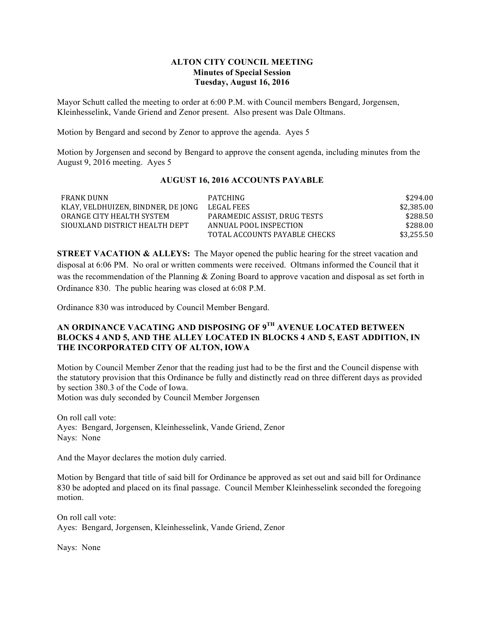### **ALTON CITY COUNCIL MEETING Minutes of Special Session Tuesday, August 16, 2016**

Mayor Schutt called the meeting to order at 6:00 P.M. with Council members Bengard, Jorgensen, Kleinhesselink, Vande Griend and Zenor present. Also present was Dale Oltmans.

Motion by Bengard and second by Zenor to approve the agenda. Ayes 5

Motion by Jorgensen and second by Bengard to approve the consent agenda, including minutes from the August 9, 2016 meeting. Ayes 5

### **AUGUST 16, 2016 ACCOUNTS PAYABLE**

| <b>FRANK DUNN</b>                  | PATCHING                      | \$294.00   |
|------------------------------------|-------------------------------|------------|
| KLAY, VELDHUIZEN, BINDNER, DE JONG | LEGAL FEES                    | \$2,385.00 |
| ORANGE CITY HEALTH SYSTEM          | PARAMEDIC ASSIST. DRUG TESTS  | \$288.50   |
| SIQUXLAND DISTRICT HEALTH DEPT     | ANNUAL POOL INSPECTION        | \$288.00   |
|                                    | TOTAL ACCOUNTS PAYABLE CHECKS | \$3,255.50 |

**STREET VACATION & ALLEYS:** The Mayor opened the public hearing for the street vacation and disposal at 6:06 PM. No oral or written comments were received. Oltmans informed the Council that it was the recommendation of the Planning & Zoning Board to approve vacation and disposal as set forth in Ordinance 830. The public hearing was closed at 6:08 P.M.

Ordinance 830 was introduced by Council Member Bengard.

# **AN ORDINANCE VACATING AND DISPOSING OF 9TH AVENUE LOCATED BETWEEN BLOCKS 4 AND 5, AND THE ALLEY LOCATED IN BLOCKS 4 AND 5, EAST ADDITION, IN THE INCORPORATED CITY OF ALTON, IOWA**

Motion by Council Member Zenor that the reading just had to be the first and the Council dispense with the statutory provision that this Ordinance be fully and distinctly read on three different days as provided by section 380.3 of the Code of Iowa. Motion was duly seconded by Council Member Jorgensen

On roll call vote: Ayes: Bengard, Jorgensen, Kleinhesselink, Vande Griend, Zenor Nays: None

And the Mayor declares the motion duly carried.

Motion by Bengard that title of said bill for Ordinance be approved as set out and said bill for Ordinance 830 be adopted and placed on its final passage. Council Member Kleinhesselink seconded the foregoing motion.

On roll call vote: Ayes: Bengard, Jorgensen, Kleinhesselink, Vande Griend, Zenor

Nays: None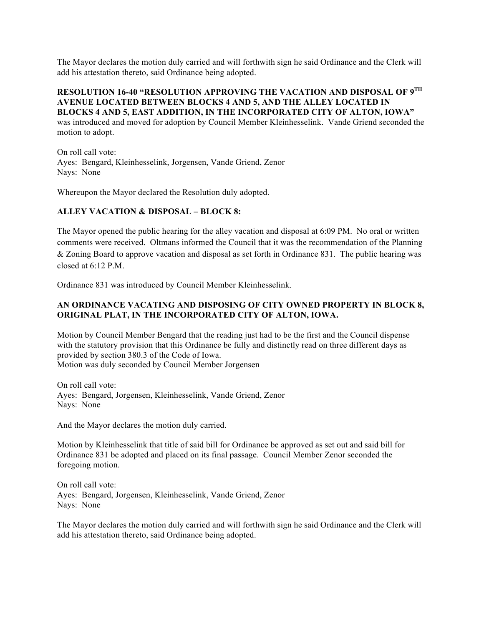The Mayor declares the motion duly carried and will forthwith sign he said Ordinance and the Clerk will add his attestation thereto, said Ordinance being adopted.

## **RESOLUTION 16-40 "RESOLUTION APPROVING THE VACATION AND DISPOSAL OF 9TH AVENUE LOCATED BETWEEN BLOCKS 4 AND 5, AND THE ALLEY LOCATED IN BLOCKS 4 AND 5, EAST ADDITION, IN THE INCORPORATED CITY OF ALTON, IOWA"**

was introduced and moved for adoption by Council Member Kleinhesselink. Vande Griend seconded the motion to adopt.

On roll call vote: Ayes: Bengard, Kleinhesselink, Jorgensen, Vande Griend, Zenor Nays: None

Whereupon the Mayor declared the Resolution duly adopted.

#### **ALLEY VACATION & DISPOSAL – BLOCK 8:**

The Mayor opened the public hearing for the alley vacation and disposal at 6:09 PM. No oral or written comments were received. Oltmans informed the Council that it was the recommendation of the Planning & Zoning Board to approve vacation and disposal as set forth in Ordinance 831. The public hearing was closed at  $6.12$  P M.

Ordinance 831 was introduced by Council Member Kleinhesselink.

## **AN ORDINANCE VACATING AND DISPOSING OF CITY OWNED PROPERTY IN BLOCK 8, ORIGINAL PLAT, IN THE INCORPORATED CITY OF ALTON, IOWA.**

Motion by Council Member Bengard that the reading just had to be the first and the Council dispense with the statutory provision that this Ordinance be fully and distinctly read on three different days as provided by section 380.3 of the Code of Iowa. Motion was duly seconded by Council Member Jorgensen

On roll call vote: Ayes: Bengard, Jorgensen, Kleinhesselink, Vande Griend, Zenor Nays: None

And the Mayor declares the motion duly carried.

Motion by Kleinhesselink that title of said bill for Ordinance be approved as set out and said bill for Ordinance 831 be adopted and placed on its final passage. Council Member Zenor seconded the foregoing motion.

On roll call vote: Ayes: Bengard, Jorgensen, Kleinhesselink, Vande Griend, Zenor Nays: None

The Mayor declares the motion duly carried and will forthwith sign he said Ordinance and the Clerk will add his attestation thereto, said Ordinance being adopted.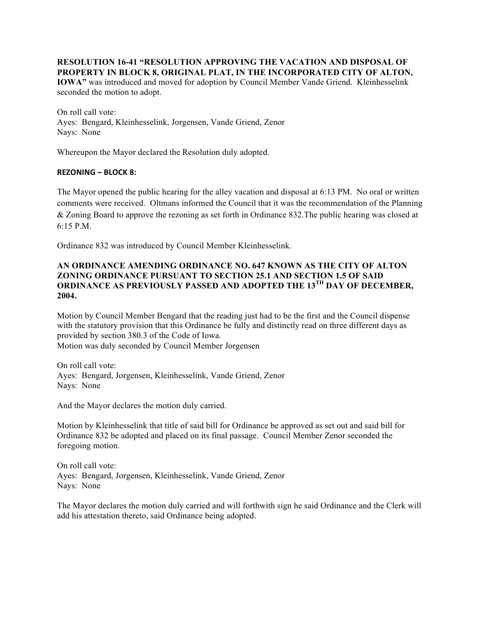**RESOLUTION 16-41 "RESOLUTION APPROVING THE VACATION AND DISPOSAL OF PROPERTY IN BLOCK 8, ORIGINAL PLAT, IN THE INCORPORATED CITY OF ALTON, IOWA"** was introduced and moved for adoption by Council Member Vande Griend. Kleinhesselink

On roll call vote:

Ayes: Bengard, Kleinhesselink, Jorgensen, Vande Griend, Zenor Nays: None

Whereupon the Mayor declared the Resolution duly adopted.

# **REZONING – BLOCK 8:**

seconded the motion to adopt.

The Mayor opened the public hearing for the alley vacation and disposal at 6:13 PM. No oral or written comments were received. Oltmans informed the Council that it was the recommendation of the Planning & Zoning Board to approve the rezoning as set forth in Ordinance 832.The public hearing was closed at  $6.15$  P.M.

Ordinance 832 was introduced by Council Member Kleinhesselink.

## **AN ORDINANCE AMENDING ORDINANCE NO. 647 KNOWN AS THE CITY OF ALTON ZONING ORDINANCE PURSUANT TO SECTION 25.1 AND SECTION 1.5 OF SAID ORDINANCE AS PREVIOUSLY PASSED AND ADOPTED THE 13TH DAY OF DECEMBER, 2004.**

Motion by Council Member Bengard that the reading just had to be the first and the Council dispense with the statutory provision that this Ordinance be fully and distinctly read on three different days as provided by section 380.3 of the Code of Iowa. Motion was duly seconded by Council Member Jorgensen

On roll call vote: Ayes: Bengard, Jorgensen, Kleinhesselink, Vande Griend, Zenor Nays: None

And the Mayor declares the motion duly carried.

Motion by Kleinhesselink that title of said bill for Ordinance be approved as set out and said bill for Ordinance 832 be adopted and placed on its final passage. Council Member Zenor seconded the foregoing motion.

On roll call vote: Ayes: Bengard, Jorgensen, Kleinhesselink, Vande Griend, Zenor Nays: None

The Mayor declares the motion duly carried and will forthwith sign he said Ordinance and the Clerk will add his attestation thereto, said Ordinance being adopted.